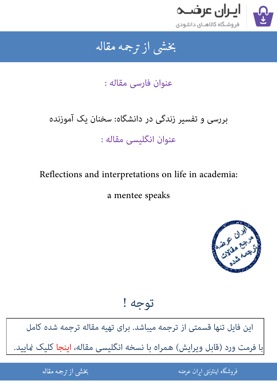

### جمه مقاله شی از تر بخشی از :

عنوان فارسی مقاله :

# بررسی و تفسیر زندگی در دانشگاه: سخنان یک آموزنده عنوان انگلیسی مقاله :

Reflections and interpretations on life in academia:

a mentee speaks



توجه !

[این فایل تنها قسمتی از ترجمه میباشد. برای تهیه مقاله ترجمه شده کامل](http://iranarze.ir/reflections+interpretations+life+academia+mentee+speaks)  با فرمت ورد (قابل ویرایش) همراه با نسخه انگلیسی مقاله، اینجا کلیک نمایید.

> ֦֘ ه اينترنتي ايران عرضه مستخدم استخدام المستخدم المستخدم المستخدم المستخدم المستخدم المستخدم المستخدم المستخدم ا ֧֚֚֚֚֚֚֚֚֚֚֚֚֚֚֚֚֚֚֚֚֚֚֚֚֬֡֡֡֡֡֡֡֡֡֬֝֝֓֡֡֬

شی از ترجمه <mark>مقا</mark>له